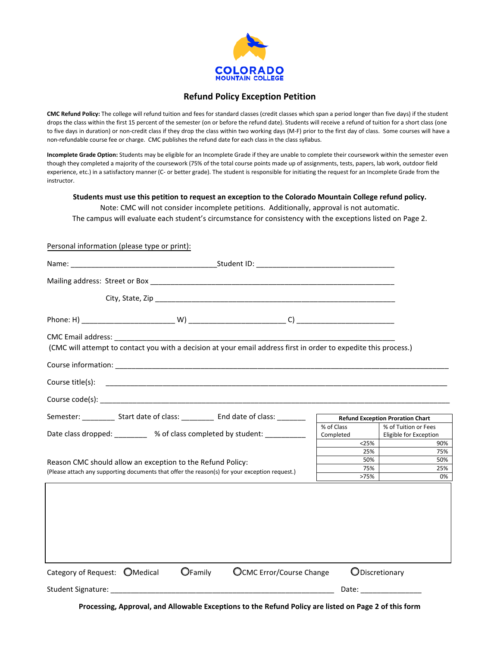

## **Refund Policy Exception Petition**

**CMC Refund Policy:** The college will refund tuition and fees for standard classes (credit classes which span a period longer than five days) if the student drops the class within the first 15 percent of the semester (on or before the refund date). Students will receive a refund of tuition for a short class (one to five days in duration) or non-credit class if they drop the class within two working days (M-F) prior to the first day of class. Some courses will have a non-refundable course fee or charge. CMC publishes the refund date for each class in the class syllabus.

**Incomplete Grade Option:** Students may be eligible for an Incomplete Grade if they are unable to complete their coursework within the semester even though they completed a majority of the coursework (75% of the total course points made up of assignments, tests, papers, lab work, outdoor field experience, etc.) in a satisfactory manner (C- or better grade). The student is responsible for initiating the request for an Incomplete Grade from the instructor.

#### **Students must use this petition to request an exception to the Colorado Mountain College refund policy.**

Note: CMC will not consider incomplete petitions. Additionally, approval is not automatic. The campus will evaluate each student's circumstance for consistency with the exceptions listed on Page 2.

### Personal information (please type or print):

| (CMC will attempt to contact you with a decision at your email address first in order to expedite this process.)                                            |                                                                                                                                  |         |                                 |  |                         |                                                |
|-------------------------------------------------------------------------------------------------------------------------------------------------------------|----------------------------------------------------------------------------------------------------------------------------------|---------|---------------------------------|--|-------------------------|------------------------------------------------|
|                                                                                                                                                             |                                                                                                                                  |         |                                 |  |                         |                                                |
|                                                                                                                                                             |                                                                                                                                  |         |                                 |  |                         |                                                |
|                                                                                                                                                             |                                                                                                                                  |         |                                 |  |                         |                                                |
|                                                                                                                                                             | Semester: ____________ Start date of class: ____________ End date of class: _________<br><b>Refund Exception Proration Chart</b> |         |                                 |  |                         |                                                |
| Date class dropped: __________ % of class completed by student: __________                                                                                  |                                                                                                                                  |         |                                 |  | % of Class<br>Completed | % of Tuition or Fees<br>Eligible for Exception |
|                                                                                                                                                             |                                                                                                                                  |         |                                 |  | $<$ 25%<br>25%          | 90%<br>75%                                     |
| Reason CMC should allow an exception to the Refund Policy:<br>(Please attach any supporting documents that offer the reason(s) for your exception request.) |                                                                                                                                  |         |                                 |  | 50%                     | 50%                                            |
|                                                                                                                                                             |                                                                                                                                  |         |                                 |  | 75%                     | 25%                                            |
|                                                                                                                                                             |                                                                                                                                  |         |                                 |  | >75%                    | 0%                                             |
|                                                                                                                                                             |                                                                                                                                  |         |                                 |  |                         |                                                |
| Category of Request: OMedical                                                                                                                               |                                                                                                                                  | OFamily | <b>OCMC Error/Course Change</b> |  | ODiscretionary          |                                                |
| Date: _______________                                                                                                                                       |                                                                                                                                  |         |                                 |  |                         |                                                |

**Processing, Approval, and Allowable Exceptions to the Refund Policy are listed on Page 2 of this form**